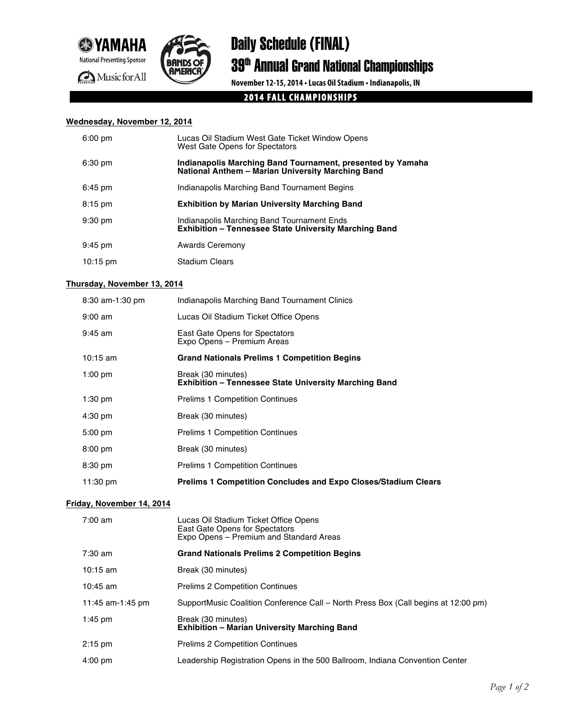



# Daily Schedule (FINAL)

# 39th Annual Grand National Championships

**November 12-15, 2014 • Lucas Oil Stadium • Indianapolis, IN**

**2014 FALL CHAMPIONSHIPS** 

#### **Wednesday, November 12, 2014**

| $6:00 \text{ pm}$  | Lucas Oil Stadium West Gate Ticket Window Opens<br>West Gate Opens for Spectators                               |
|--------------------|-----------------------------------------------------------------------------------------------------------------|
| $6:30 \text{ pm}$  | Indianapolis Marching Band Tournament, presented by Yamaha<br>National Anthem – Marian University Marching Band |
| $6:45$ pm          | Indianapolis Marching Band Tournament Begins                                                                    |
| $8:15$ pm          | <b>Exhibition by Marian University Marching Band</b>                                                            |
| $9:30$ pm          | Indianapolis Marching Band Tournament Ends<br><b>Exhibition – Tennessee State University Marching Band</b>      |
| $9:45$ pm          | <b>Awards Ceremony</b>                                                                                          |
| $10:15 \text{ pm}$ | <b>Stadium Clears</b>                                                                                           |

#### **Thursday, November 13, 2014**

| 8:30 am-1:30 pm | Indianapolis Marching Band Tournament Clinics                                      |
|-----------------|------------------------------------------------------------------------------------|
| 9:00 am         | Lucas Oil Stadium Ticket Office Opens                                              |
| 9:45 am         | East Gate Opens for Spectators<br>Expo Opens – Premium Areas                       |
| 10:15 am        | <b>Grand Nationals Prelims 1 Competition Begins</b>                                |
| $1:00$ pm       | Break (30 minutes)<br><b>Exhibition – Tennessee State University Marching Band</b> |
| 1:30 pm         | <b>Prelims 1 Competition Continues</b>                                             |
| 4:30 pm         | Break (30 minutes)                                                                 |
| 5:00 pm         | <b>Prelims 1 Competition Continues</b>                                             |
| 8:00 pm         | Break (30 minutes)                                                                 |
| 8:30 pm         | <b>Prelims 1 Competition Continues</b>                                             |
| 11:30 pm        | <b>Prelims 1 Competition Concludes and Expo Closes/Stadium Clears</b>              |

### **Friday, November 14, 2014**

| $7:00 \text{ am}$ | Lucas Oil Stadium Ticket Office Opens<br>East Gate Opens for Spectators<br>Expo Opens - Premium and Standard Areas |
|-------------------|--------------------------------------------------------------------------------------------------------------------|
| $7:30$ am         | <b>Grand Nationals Prelims 2 Competition Begins</b>                                                                |
| $10:15$ am        | Break (30 minutes)                                                                                                 |
| $10:45$ am        | <b>Prelims 2 Competition Continues</b>                                                                             |
| 11:45 am-1:45 pm  | SupportMusic Coalition Conference Call – North Press Box (Call begins at 12:00 pm)                                 |
| $1:45$ pm         | Break (30 minutes)<br><b>Exhibition - Marian University Marching Band</b>                                          |
| $2:15$ pm         | <b>Prelims 2 Competition Continues</b>                                                                             |
| $4:00$ pm         | Leadership Registration Opens in the 500 Ballroom, Indiana Convention Center                                       |